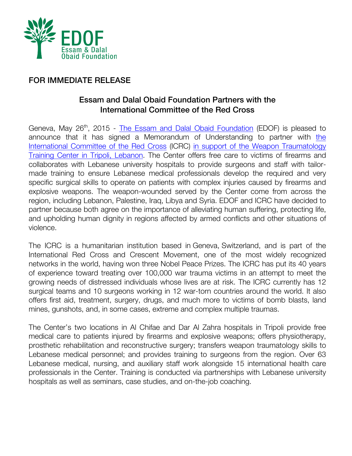

## FOR IMMEDIATE RELEASE

## Essam and Dalal Obaid Foundation Partners with the International Committee of the Red Cross

Geneva, May 26<sup>th</sup>, 2015 - The Essam and Dalal Obaid Foundation (EDOF) is pleased to announce that it has signed a Memorandum of Understanding to partner with the International Committee of the Red Cross (ICRC) in support of the Weapon Traumatology Training Center in Tripoli, Lebanon. The Center offers free care to victims of firearms and collaborates with Lebanese university hospitals to provide surgeons and staff with tailormade training to ensure Lebanese medical professionals develop the required and very specific surgical skills to operate on patients with complex injuries caused by firearms and explosive weapons. The weapon-wounded served by the Center come from across the region, including Lebanon, Palestine, Iraq, Libya and Syria. EDOF and ICRC have decided to partner because both agree on the importance of alleviating human suffering, protecting life, and upholding human dignity in regions affected by armed conflicts and other situations of violence.

The ICRC is a humanitarian institution based in Geneva, Switzerland, and is part of the International Red Cross and Crescent Movement, one of the most widely recognized networks in the world, having won three Nobel Peace Prizes. The ICRC has put its 40 years of experience toward treating over 100,000 war trauma victims in an attempt to meet the growing needs of distressed individuals whose lives are at risk. The ICRC currently has 12 surgical teams and 10 surgeons working in 12 war-torn countries around the world. It also offers first aid, treatment, surgery, drugs, and much more to victims of bomb blasts, land mines, gunshots, and, in some cases, extreme and complex multiple traumas.

The Center's two locations in Al Chifae and Dar Al Zahra hospitals in Tripoli provide free medical care to patients injured by firearms and explosive weapons; offers physiotherapy, prosthetic rehabilitation and reconstructive surgery; transfers weapon traumatology skills to Lebanese medical personnel; and provides training to surgeons from the region. Over 63 Lebanese medical, nursing, and auxiliary staff work alongside 15 international health care professionals in the Center. Training is conducted via partnerships with Lebanese university hospitals as well as seminars, case studies, and on-the-job coaching.